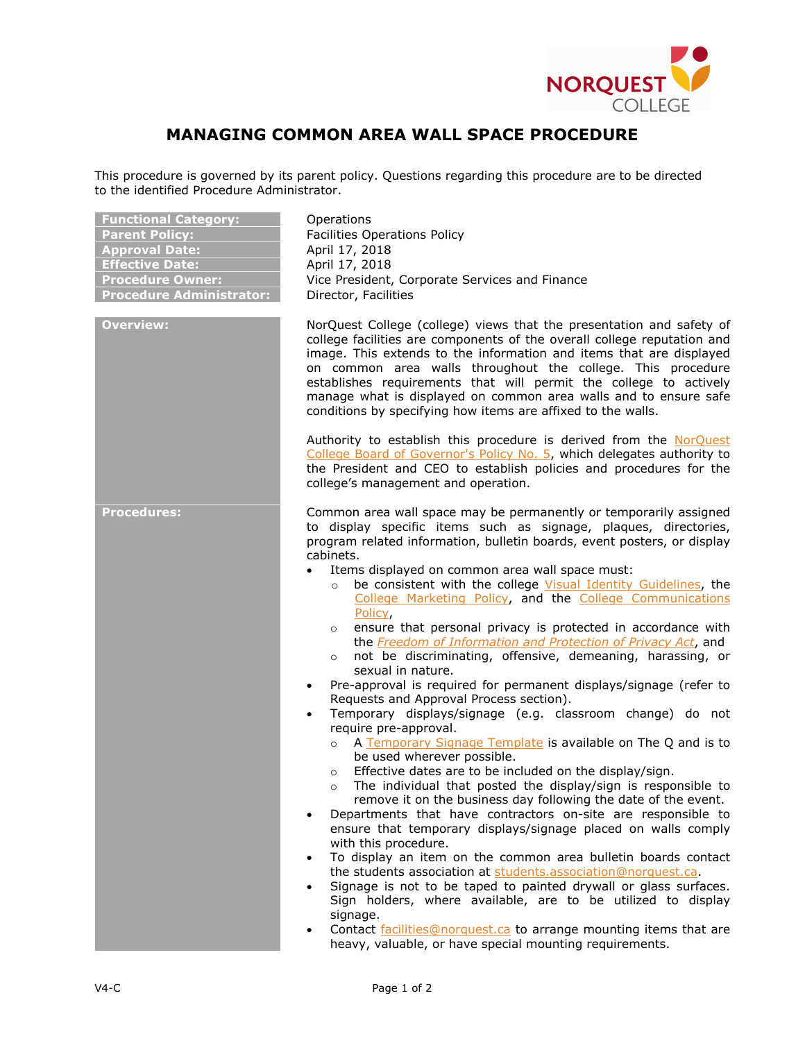

## **MANAGING COMMON AREA WALL SPACE PROCEDURE**

This procedure is governed by its parent policy. Questions regarding this procedure are to be directed to the identified Procedure Administrator.

| <b>Functional Category:</b><br><b>Parent Policy:</b><br><b>Approval Date:</b><br><b>Effective Date:</b><br><b>Procedure Owner:</b><br><b>Procedure Administrator:</b> | Operations<br><b>Facilities Operations Policy</b><br>April 17, 2018<br>April 17, 2018<br>Vice President, Corporate Services and Finance<br>Director, Facilities                                                                                                                                                                                                                                                                                                                                                                                                                                                                                                                                                                                                                                                                                                                                                                                                                                                                                                                                                                                                                                                                                                                                                                                                                                                                                                                                                                                                                                                                                                                                                                                                                                               |
|-----------------------------------------------------------------------------------------------------------------------------------------------------------------------|---------------------------------------------------------------------------------------------------------------------------------------------------------------------------------------------------------------------------------------------------------------------------------------------------------------------------------------------------------------------------------------------------------------------------------------------------------------------------------------------------------------------------------------------------------------------------------------------------------------------------------------------------------------------------------------------------------------------------------------------------------------------------------------------------------------------------------------------------------------------------------------------------------------------------------------------------------------------------------------------------------------------------------------------------------------------------------------------------------------------------------------------------------------------------------------------------------------------------------------------------------------------------------------------------------------------------------------------------------------------------------------------------------------------------------------------------------------------------------------------------------------------------------------------------------------------------------------------------------------------------------------------------------------------------------------------------------------------------------------------------------------------------------------------------------------|
| <b>Overview:</b>                                                                                                                                                      | NorQuest College (college) views that the presentation and safety of<br>college facilities are components of the overall college reputation and<br>image. This extends to the information and items that are displayed<br>on common area walls throughout the college. This procedure<br>establishes requirements that will permit the college to actively<br>manage what is displayed on common area walls and to ensure safe<br>conditions by specifying how items are affixed to the walls.                                                                                                                                                                                                                                                                                                                                                                                                                                                                                                                                                                                                                                                                                                                                                                                                                                                                                                                                                                                                                                                                                                                                                                                                                                                                                                                |
|                                                                                                                                                                       | Authority to establish this procedure is derived from the NorQuest<br>College Board of Governor's Policy No. 5, which delegates authority to<br>the President and CEO to establish policies and procedures for the<br>college's management and operation.                                                                                                                                                                                                                                                                                                                                                                                                                                                                                                                                                                                                                                                                                                                                                                                                                                                                                                                                                                                                                                                                                                                                                                                                                                                                                                                                                                                                                                                                                                                                                     |
| Procedures:                                                                                                                                                           | Common area wall space may be permanently or temporarily assigned<br>to display specific items such as signage, plaques, directories,<br>program related information, bulletin boards, event posters, or display<br>cabinets.<br>Items displayed on common area wall space must:<br>be consistent with the college Visual Identity Guidelines, the<br>$\circ$<br>College Marketing Policy, and the College Communications<br>Policy,<br>ensure that personal privacy is protected in accordance with<br>$\circ$<br>the Freedom of Information and Protection of Privacy Act, and<br>not be discriminating, offensive, demeaning, harassing, or<br>$\circ$<br>sexual in nature.<br>Pre-approval is required for permanent displays/signage (refer to<br>Requests and Approval Process section).<br>Temporary displays/signage (e.g. classroom change) do not<br>$\bullet$<br>require pre-approval.<br>A Temporary Signage Template is available on The Q and is to<br>$\circ$<br>be used wherever possible.<br>o Effective dates are to be included on the display/sign.<br>The individual that posted the display/sign is responsible to<br>$\circ$<br>remove it on the business day following the date of the event.<br>Departments that have contractors on-site are responsible to<br>ensure that temporary displays/signage placed on walls comply<br>with this procedure.<br>To display an item on the common area bulletin boards contact<br>$\bullet$<br>the students association at students.association@norquest.ca.<br>Signage is not to be taped to painted drywall or glass surfaces.<br>Sign holders, where available, are to be utilized to display<br>signage.<br>Contact facilities@norquest.ca to arrange mounting items that are<br>heavy, valuable, or have special mounting requirements. |